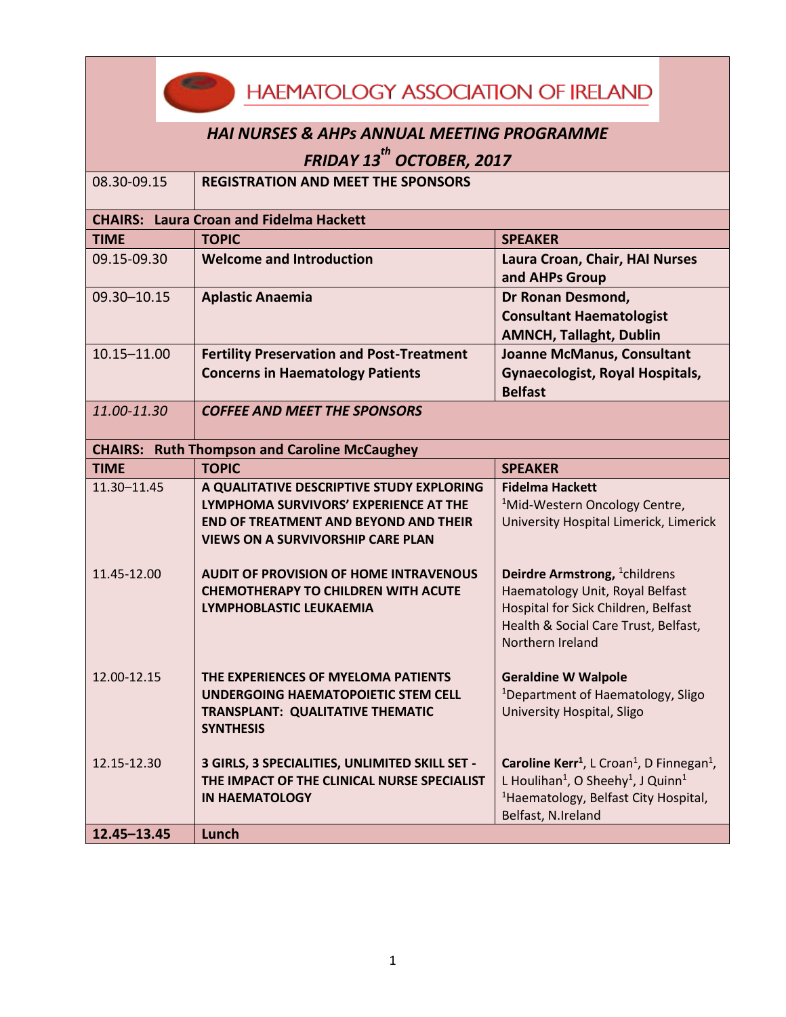| <b>HAEMATOLOGY ASSOCIATION OF IRELAND</b>                                                            |                                                                                                                                                                    |                                                                                                                                                                                                                                   |  |  |  |
|------------------------------------------------------------------------------------------------------|--------------------------------------------------------------------------------------------------------------------------------------------------------------------|-----------------------------------------------------------------------------------------------------------------------------------------------------------------------------------------------------------------------------------|--|--|--|
| <b>HAI NURSES &amp; AHPS ANNUAL MEETING PROGRAMME</b><br><b>FRIDAY 13<sup>th</sup> OCTOBER, 2017</b> |                                                                                                                                                                    |                                                                                                                                                                                                                                   |  |  |  |
|                                                                                                      |                                                                                                                                                                    |                                                                                                                                                                                                                                   |  |  |  |
|                                                                                                      | <b>CHAIRS: Laura Croan and Fidelma Hackett</b>                                                                                                                     |                                                                                                                                                                                                                                   |  |  |  |
| <b>TIME</b>                                                                                          | <b>TOPIC</b>                                                                                                                                                       | <b>SPEAKER</b>                                                                                                                                                                                                                    |  |  |  |
| 09.15-09.30                                                                                          | <b>Welcome and Introduction</b>                                                                                                                                    | Laura Croan, Chair, HAI Nurses<br>and AHPs Group                                                                                                                                                                                  |  |  |  |
| 09.30-10.15                                                                                          | <b>Aplastic Anaemia</b>                                                                                                                                            | Dr Ronan Desmond,<br><b>Consultant Haematologist</b><br><b>AMNCH, Tallaght, Dublin</b>                                                                                                                                            |  |  |  |
| $10.15 - 11.00$                                                                                      | <b>Fertility Preservation and Post-Treatment</b><br><b>Concerns in Haematology Patients</b>                                                                        | <b>Joanne McManus, Consultant</b><br><b>Gynaecologist, Royal Hospitals,</b><br><b>Belfast</b>                                                                                                                                     |  |  |  |
| 11.00-11.30                                                                                          | <b>COFFEE AND MEET THE SPONSORS</b>                                                                                                                                |                                                                                                                                                                                                                                   |  |  |  |
|                                                                                                      | <b>CHAIRS: Ruth Thompson and Caroline McCaughey</b>                                                                                                                |                                                                                                                                                                                                                                   |  |  |  |
| <b>TIME</b>                                                                                          | <b>TOPIC</b>                                                                                                                                                       | <b>SPEAKER</b>                                                                                                                                                                                                                    |  |  |  |
| 11.30-11.45                                                                                          | A QUALITATIVE DESCRIPTIVE STUDY EXPLORING                                                                                                                          | <b>Fidelma Hackett</b>                                                                                                                                                                                                            |  |  |  |
|                                                                                                      | LYMPHOMA SURVIVORS' EXPERIENCE AT THE<br><b>END OF TREATMENT AND BEYOND AND THEIR</b>                                                                              | <sup>1</sup> Mid-Western Oncology Centre,<br>University Hospital Limerick, Limerick                                                                                                                                               |  |  |  |
| 11.45-12.00                                                                                          | <b>VIEWS ON A SURVIVORSHIP CARE PLAN</b><br><b>AUDIT OF PROVISION OF HOME INTRAVENOUS</b><br><b>CHEMOTHERAPY TO CHILDREN WITH ACUTE</b><br>LYMPHOBLASTIC LEUKAEMIA | Deirdre Armstrong, <sup>1</sup> childrens<br>Haematology Unit, Royal Belfast<br>Hospital for Sick Children, Belfast<br>Health & Social Care Trust, Belfast,<br>Northern Ireland                                                   |  |  |  |
| 12.00-12.15                                                                                          | THE EXPERIENCES OF MYELOMA PATIENTS<br>UNDERGOING HAEMATOPOIETIC STEM CELL<br><b>TRANSPLANT: QUALITATIVE THEMATIC</b><br><b>SYNTHESIS</b>                          | <b>Geraldine W Walpole</b><br><sup>1</sup> Department of Haematology, Sligo<br>University Hospital, Sligo                                                                                                                         |  |  |  |
| 12.15-12.30<br>12.45-13.45                                                                           | 3 GIRLS, 3 SPECIALITIES, UNLIMITED SKILL SET -<br>THE IMPACT OF THE CLINICAL NURSE SPECIALIST<br><b>IN HAEMATOLOGY</b><br>Lunch                                    | Caroline Kerr <sup>1</sup> , L Croan <sup>1</sup> , D Finnegan <sup>1</sup> ,<br>L Houlihan <sup>1</sup> , O Sheehy <sup>1</sup> , J Quinn <sup>1</sup><br><sup>1</sup> Haematology, Belfast City Hospital,<br>Belfast, N.Ireland |  |  |  |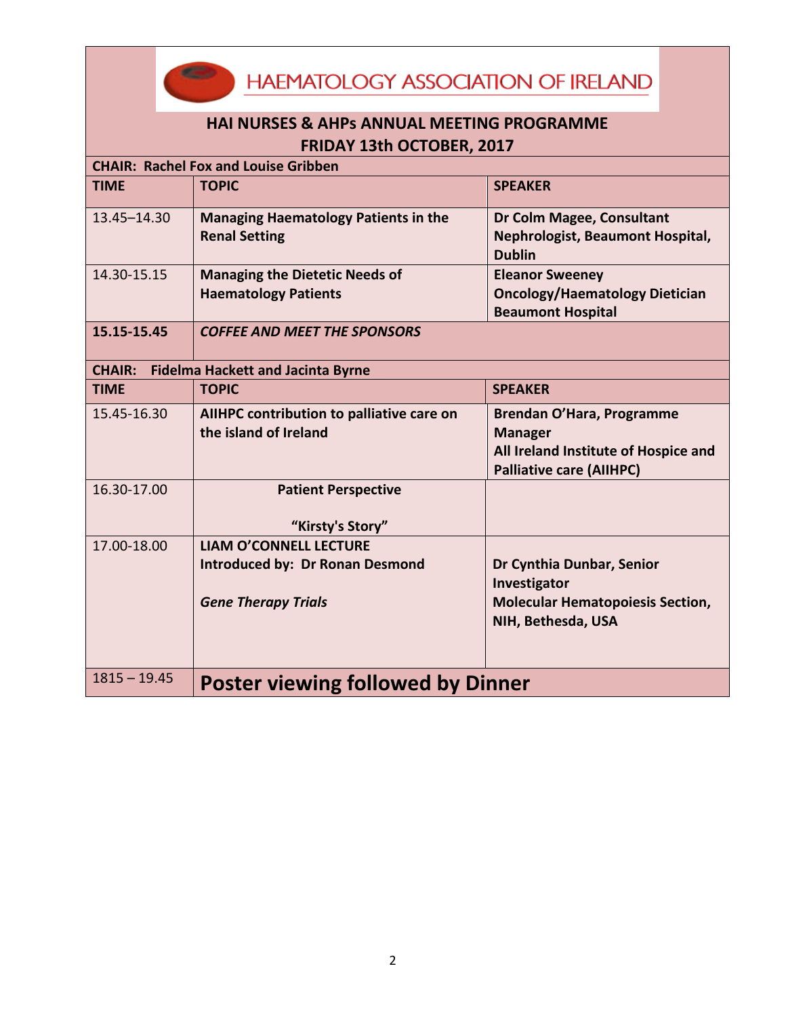**HAEMATOLOGY ASSOCIATION OF IRELAND** 

| <b>HAI NURSES &amp; AHPS ANNUAL MEETING PROGRAMME</b><br>FRIDAY 13th OCTOBER, 2017 |                                                                                                       |                                                                                                                        |  |  |  |
|------------------------------------------------------------------------------------|-------------------------------------------------------------------------------------------------------|------------------------------------------------------------------------------------------------------------------------|--|--|--|
| <b>CHAIR: Rachel Fox and Louise Gribben</b>                                        |                                                                                                       |                                                                                                                        |  |  |  |
| <b>TIME</b>                                                                        | <b>TOPIC</b>                                                                                          | <b>SPEAKER</b>                                                                                                         |  |  |  |
| 13.45-14.30                                                                        | <b>Managing Haematology Patients in the</b><br><b>Renal Setting</b>                                   | Dr Colm Magee, Consultant<br>Nephrologist, Beaumont Hospital,<br><b>Dublin</b>                                         |  |  |  |
| 14.30-15.15                                                                        | <b>Managing the Dietetic Needs of</b><br><b>Haematology Patients</b>                                  | <b>Eleanor Sweeney</b><br><b>Oncology/Haematology Dietician</b><br><b>Beaumont Hospital</b>                            |  |  |  |
| 15.15-15.45                                                                        | <b>COFFEE AND MEET THE SPONSORS</b>                                                                   |                                                                                                                        |  |  |  |
|                                                                                    | <b>CHAIR:</b> Fidelma Hackett and Jacinta Byrne                                                       |                                                                                                                        |  |  |  |
| <b>TIME</b>                                                                        | <b>TOPIC</b>                                                                                          | <b>SPEAKER</b>                                                                                                         |  |  |  |
| 15.45-16.30                                                                        | AIIHPC contribution to palliative care on<br>the island of Ireland                                    | Brendan O'Hara, Programme<br><b>Manager</b><br>All Ireland Institute of Hospice and<br><b>Palliative care (AIIHPC)</b> |  |  |  |
| 16.30-17.00                                                                        | <b>Patient Perspective</b><br>"Kirsty's Story"                                                        |                                                                                                                        |  |  |  |
| 17.00-18.00                                                                        | <b>LIAM O'CONNELL LECTURE</b><br><b>Introduced by: Dr Ronan Desmond</b><br><b>Gene Therapy Trials</b> | Dr Cynthia Dunbar, Senior<br>Investigator<br><b>Molecular Hematopoiesis Section,</b><br>NIH, Bethesda, USA             |  |  |  |
| $1815 - 19.45$                                                                     | <b>Poster viewing followed by Dinner</b>                                                              |                                                                                                                        |  |  |  |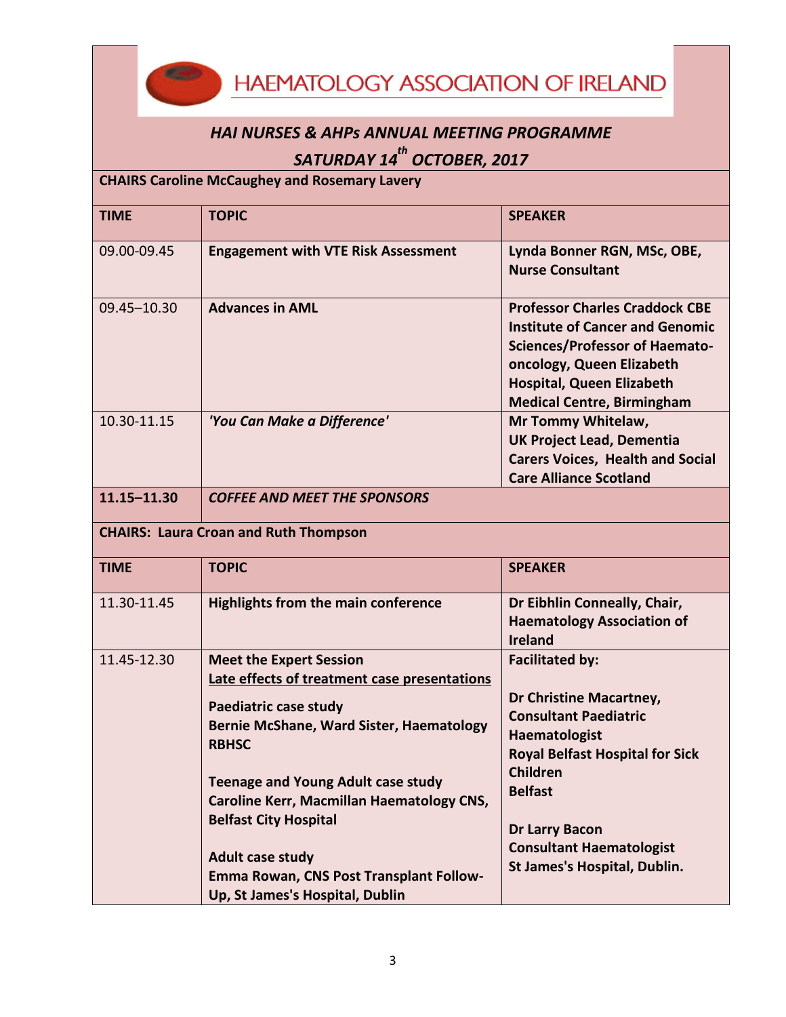**HAEMATOLOGY ASSOCIATION OF IRELAND** 

## *HAI NURSES & AHPs ANNUAL MEETING PROGRAMME SATURDAY 14 th OCTOBER, 2017*

## **CHAIRS Caroline McCaughey and Rosemary Lavery**

| <b>TIME</b>                                  | <b>TOPIC</b>                                                                                                           | <b>SPEAKER</b>                                                                                                                                                                                                                 |  |  |
|----------------------------------------------|------------------------------------------------------------------------------------------------------------------------|--------------------------------------------------------------------------------------------------------------------------------------------------------------------------------------------------------------------------------|--|--|
| 09.00-09.45                                  | <b>Engagement with VTE Risk Assessment</b>                                                                             | Lynda Bonner RGN, MSc, OBE,<br><b>Nurse Consultant</b>                                                                                                                                                                         |  |  |
| 09.45-10.30                                  | <b>Advances in AML</b>                                                                                                 | <b>Professor Charles Craddock CBE</b><br><b>Institute of Cancer and Genomic</b><br><b>Sciences/Professor of Haemato-</b><br>oncology, Queen Elizabeth<br><b>Hospital, Queen Elizabeth</b><br><b>Medical Centre, Birmingham</b> |  |  |
| 10.30-11.15                                  | 'You Can Make a Difference'                                                                                            | Mr Tommy Whitelaw,<br><b>UK Project Lead, Dementia</b><br><b>Carers Voices, Health and Social</b><br><b>Care Alliance Scotland</b>                                                                                             |  |  |
| 11.15-11.30                                  | <b>COFFEE AND MEET THE SPONSORS</b>                                                                                    |                                                                                                                                                                                                                                |  |  |
| <b>CHAIRS: Laura Croan and Ruth Thompson</b> |                                                                                                                        |                                                                                                                                                                                                                                |  |  |
| <b>TIME</b>                                  | <b>TOPIC</b>                                                                                                           | <b>SPEAKER</b>                                                                                                                                                                                                                 |  |  |
| 11.30-11.45                                  | <b>Highlights from the main conference</b>                                                                             | Dr Eibhlin Conneally, Chair,<br><b>Haematology Association of</b><br><b>Ireland</b>                                                                                                                                            |  |  |
| 11.45-12.30                                  | <b>Meet the Expert Session</b><br>Late effects of treatment case presentations                                         | <b>Facilitated by:</b>                                                                                                                                                                                                         |  |  |
|                                              | Paediatric case study<br>Bernie McShane, Ward Sister, Haematology<br><b>RBHSC</b>                                      | Dr Christine Macartney,<br><b>Consultant Paediatric</b><br><b>Haematologist</b><br><b>Royal Belfast Hospital for Sick</b>                                                                                                      |  |  |
|                                              | <b>Teenage and Young Adult case study</b><br>Caroline Kerr, Macmillan Haematology CNS,<br><b>Belfast City Hospital</b> | Children<br><b>Belfast</b><br><b>Dr Larry Bacon</b><br><b>Consultant Haematologist</b>                                                                                                                                         |  |  |
|                                              | <b>Adult case study</b><br>Emma Rowan, CNS Post Transplant Follow-<br>Up, St James's Hospital, Dublin                  | St James's Hospital, Dublin.                                                                                                                                                                                                   |  |  |